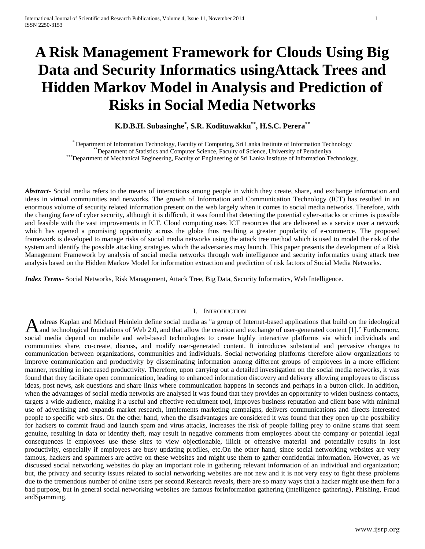# **A Risk Management Framework for Clouds Using Big Data and Security Informatics usingAttack Trees and Hidden Markov Model in Analysis and Prediction of Risks in Social Media Networks**

**K.D.B.H. Subasinghe\* , S.R. Kodituwakku\*\* , H.S.C. Perera\*\***

\* Department of Information Technology, Faculty of Computing, Sri Lanka Institute of Information Technology \*\*Department of Statistics and Computer Science, Faculty of Science, University of Peradeniya \*\*\*Department of Mechanical Engineering, Faculty of Engineering of Sri Lanka Institute of Information Technology,

*Abstract***-** Social media refers to the means of interactions among people in which they create, share, and exchange information and ideas in virtual communities and networks. The growth of Information and Communication Technology (ICT) has resulted in an enormous volume of security related information present on the web largely when it comes to social media networks. Therefore, with the changing face of cyber security, although it is difficult, it was found that detecting the potential cyber-attacks or crimes is possible and feasible with the vast improvements in ICT. Cloud computing uses ICT resources that are delivered as a service over a network which has opened a promising opportunity across the globe thus resulting a greater popularity of e-commerce. The proposed framework is developed to manage risks of social media networks using the attack tree method which is used to model the risk of the system and identify the possible attacking strategies which the adversaries may launch. This paper presents the development of a Risk Management Framework by analysis of social media networks through web intelligence and security informatics using attack tree analysis based on the Hidden Markov Model for information extraction and prediction of risk factors of Social Media Networks.

*Index Terms*- Social Networks, Risk Management, Attack Tree, Big Data, Security Informatics, Web Intelligence.

## I. INTRODUCTION

[ndreas Kaplan](http://en.wikipedia.org/wiki/Andreas_Kaplan) and Michael Heinlein define social media as "a group of Internet-based applications that build on the ideological Andreas Kaplan and Michael Heinlein define social media as "a group of Internet-based applications that build on the ideological and technological foundations of [Web 2.0,](http://en.wikipedia.org/wiki/Web_2.0) and that allow the creation and exchange of user-ge social media depend on mobile and web-based technologies to create highly interactive platforms via which individuals and communities share, co-create, discuss, and modify user-generated content. It introduces substantial and pervasive changes to communication between organizations, communities and individuals. Social networking platforms therefore allow organizations to improve communication and productivity by disseminating information among different groups of employees in a more efficient manner, resulting in increased productivity. Therefore, upon carrying out a detailed investigation on the social media networks, it was found that they facilitate open communication, leading to enhanced information discovery and delivery allowing employees to discuss ideas, post news, ask questions and share links where communication happens in seconds and perhaps in a button click. In addition, when the advantages of social media networks are analysed it was found that they provides an opportunity to widen business contacts, targets a wide audience, making it a useful and effective recruitment tool, improves business reputation and client base with minimal use of advertising and expands market research, implements marketing campaigns, delivers communications and directs interested people to specific web sites. On the other hand, when the disadvantages are considered it was found that they open up the possibility for hackers to commit fraud and launch spam and virus attacks, increases the risk of people falling prey to online scams that seem genuine, resulting in data or identity theft, may result in negative comments from employees about the company or potential legal consequences if employees use these sites to view objectionable, illicit or offensive material and potentially results in lost productivity, especially if employees are busy updating profiles, etc.On the other hand, since social networking websites are very famous, hackers and spammers are active on these websites and might use them to gather confidential information. However, as we discussed social networking websites do play an important role in gathering relevant information of an individual and organization; but, the privacy and security issues related to social networking websites are not new and it is not very easy to fight these problems due to the tremendous number of online users per second.Research reveals, there are so many ways that a hacker might use them for a bad purpose, but in general social networking websites are famous forInformation gathering (intelligence gathering), Phishing, Fraud andSpamming.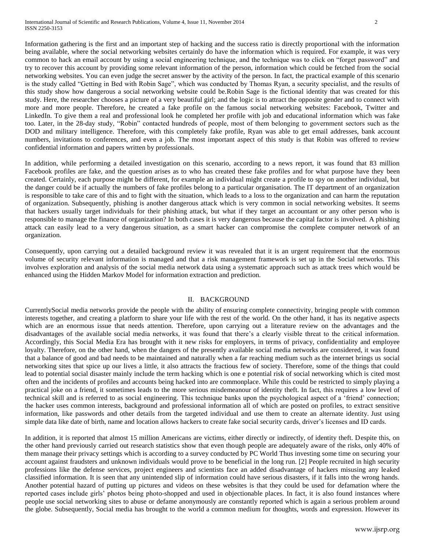Information gathering is the first and an important step of hacking and the success ratio is directly proportional with the information being available, where the social networking websites certainly do have the information which is required. For example, it was very common to hack an email account by using a social engineering technique, and the technique was to click on "forget password" and try to recover this account by providing some relevant information of the person, information which could be fetched from the social networking websites. You can even judge the secret answer by the activity of the person. In fact, the practical example of this scenario is the study called "Getting in Bed with Robin Sage", which was conducted by Thomas Ryan, a security specialist, and the results of this study show how dangerous a social networking website could be.Robin Sage is the fictional identity that was created for this study. Here, the researcher chooses a picture of a very beautiful girl; and the logic is to attract the opposite gender and to connect with more and more people. Therefore, he created a fake profile on the famous social networking websites: Facebook, Twitter and LinkedIn. To give them a real and professional look he completed her profile with job and educational information which was fake too. Later, in the 28-day study, "Robin" contacted hundreds of people, most of them belonging to government sectors such as the DOD and military intelligence. Therefore, with this completely fake profile, Ryan was able to get email addresses, bank account numbers, invitations to conferences, and even a job. The most important aspect of this study is that Robin was offered to review confidential information and papers written by professionals.

In addition, while performing a detailed investigation on this scenario, according to a news report, it was found that 83 million Facebook profiles are fake, and the question arises as to who has created these fake profiles and for what purpose have they been created. Certainly, each purpose might be different, for example an individual might create a profile to spy on another individual, but the danger could be if actually the numbers of fake profiles belong to a particular organisation. The IT department of an organization is responsible to take care of this and to fight with the situation, which leads to a loss to the organization and can harm the reputation of organization. Subsequently, phishing is another dangerous attack which is very common in social networking websites. It seems that hackers usually target individuals for their phishing attack, but what if they target an accountant or any other person who is responsible to manage the finance of organization? In both cases it is very dangerous because the capital factor is involved. A phishing attack can easily lead to a very dangerous situation, as a smart hacker can compromise the complete computer network of an organization.

Consequently, upon carrying out a detailed background review it was revealed that it is an urgent requirement that the enormous volume of security relevant information is managed and that a risk management framework is set up in the Social networks. This involves exploration and analysis of the social media network data using a systematic approach such as attack trees which would be enhanced using the Hidden Markov Model for information extraction and prediction.

# II. BACKGROUND

CurrentlySocial media networks provide the people with the ability of ensuring complete connectivity, bringing people with common interests together, and creating a platform to share your life with the rest of the world. On the other hand, it has its negative aspects which are an enormous issue that needs attention. Therefore, upon carrying out a literature review on the advantages and the disadvantages of the available social media networks, it was found that there"s a clearly visible threat to the critical information. Accordingly, this Social Media Era has brought with it new risks for employers, in terms of privacy, confidentiality and employee loyalty. Therefore, on the other hand, when the dangers of the presently available social media networks are considered, it was found that a balance of good and bad needs to be maintained and naturally when a far reaching medium such as the internet brings us social networking sites that spice up our lives a little, it also attracts the fractious few of society. Therefore, some of the things that could lead to potential social disaster mainly include the term hacking which is one e potential risk of social networking which is cited most often and the incidents of profiles and accounts being hacked into are commonplace. While this could be restricted to simply playing a practical joke on a friend, it sometimes leads to the more serious misdemeanour of identity theft. In fact, this requires a low level of technical skill and is referred to as social engineering. This technique banks upon the psychological aspect of a "friend" connection; the hacker uses common interests, background and professional information all of which are posted on profiles, to extract sensitive information, like passwords and other details from the targeted individual and use them to create an alternate identity. Just using simple data like date of birth, name and location allows hackers to create fake social security cards, driver"s licenses and ID cards.

In addition, it is reported that almost 15 million Americans are victims, either directly or indirectly, of identity theft. Despite this, on the other hand previously carried out research statistics show that even though people are adequately aware of the risks, only 40% of them manage their privacy settings which is according to a survey conducted by PC World Thus investing some time on securing your account against fraudsters and unknown individuals would prove to be beneficial in the long run. [2] People recruited in high security professions like the defense services, project engineers and scientists face an added disadvantage of hackers misusing any leaked classified information. It is seen that any unintended slip of information could have serious disasters, if it falls into the wrong hands. Another potential hazard of putting up pictures and videos on these websites is that they could be used for defamation where the reported cases include girls" photos being photo-shopped and used in objectionable places. In fact, it is also found instances where people use social networking sites to abuse or defame anonymously are constantly reported which is again a serious problem around the globe. Subsequently, Social media has brought to the world a common medium for thoughts, words and expression. However its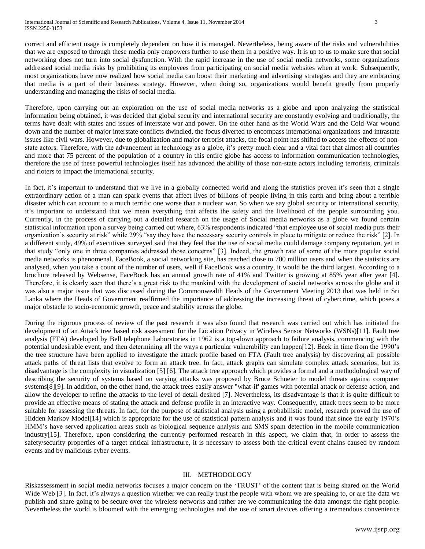correct and efficient usage is completely dependent on how it is managed. Nevertheless, being aware of the risks and vulnerabilities that we are exposed to through these media only empowers further to use them in a positive way. It is up to us to make sure that social networking does not turn into social dysfunction. With the rapid increase in the use of social media networks, some organizations addressed social media risks by prohibiting its employees from participating on social media websites when at work. Subsequently, most organizations have now realized how social media can boost their marketing and advertising strategies and they are embracing that media is a part of their business strategy. However, when doing so, organizations would benefit greatly from properly understanding and managing the risks of social media.

Therefore, upon carrying out an exploration on the use of social media networks as a globe and upon analyzing the statistical information being obtained, it was decided that global security and international security are constantly evolving and traditionally, the terms have dealt with states and issues of interstate war and power. On the other hand as the World Wars and the Cold War wound down and the number of major interstate conflicts dwindled, the focus diverted to encompass international organizations and intrastate issues like civil wars. However, due to globalization and major terrorist attacks, the focal point has shifted to access the effects of nonstate actors. Therefore, with the advancement in technology as a globe, it's pretty much clear and a vital fact that almost all countries and more that 75 percent of the population of a country in this entire globe has access to information communication technologies, therefore the use of these powerful technologies itself has advanced the ability of those non-state actors including terrorists, criminals and rioters to impact the international security.

In fact, it's important to understand that we live in a globally connected world and along the statistics proven it's seen that a single extraordinary action of a man can spark events that affect lives of billions of people living in this earth and bring about a terrible disaster which can account to a much terrific one worse than a nuclear war. So when we say global security or international security, it"s important to understand that we mean everything that affects the safety and the livelihood of the people surrounding you. Currently, in the process of carrying out a detailed research on the usage of Social media networks as a globe we found certain statistical information upon a survey being carried out where, 63% respondents indicated "that employee use of social media puts their organization"s security at risk" while 29% "say they have the necessary security controls in place to mitigate or reduce the risk" [2]. In a different study, 49% of executives surveyed said that they feel that the use of social media could damage company reputation, yet in that study "only one in three companies addressed those concerns" [3]. Indeed, the growth rate of some of the more popular social media networks is phenomenal. FaceBook, a social networking site, has reached close to 700 million users and when the statistics are analysed, when you take a count of the number of users, well if FaceBook was a country, it would be the third largest. According to a brochure released by Websense, FaceBook has an annual growth rate of 41% and Twitter is growing at 85% year after year [4]. Therefore, it is clearly seen that there"s a great risk to the mankind with the development of social networks across the globe and it was also a major issue that was discussed during the Commonwealth Heads of the Government Meeting 2013 that was held in Sri Lanka where the Heads of Government reaffirmed the importance of addressing the increasing threat of cybercrime, which poses a major obstacle to socio-economic growth, peace and stability across the globe.

During the rigorous process of review of the past research it was also found that research was carried out which has initiated the development of an Attack tree based risk assessment for the Location Privacy in Wireless Sensor Networks (WSNs)[11]. Fault tree analysis (FTA) developed by Bell telephone Laboratories in 1962 is a top-down approach to failure analysis, commencing with the potential undesirable event, and then determining all the ways a particular vulnerability can happen[12]. Back in time from the 1990"s the tree structure have been applied to investigate the attack profile based on FTA (Fault tree analysis) by discovering all possible attack paths of threat lists that evolve to form an attack tree. In fact, attack graphs can simulate complex attack scenarios, but its disadvantage is the complexity in visualization [5] [6]. The attack tree approach which provides a formal and a methodological way of describing the security of systems based on varying attacks was proposed by Bruce Schneier to model threats against computer systems[8][9]. In addition, on the other hand, the attack trees easily answer "what-if' games with potential attack or defense action, and allow the developer to refine the attacks to the level of detail desired [7]. Nevertheless, its disadvantage is that it is quite difficult to provide an effective means of stating the attack and defense profile in an interactive way. Consequently, attack trees seem to be more suitable for assessing the threats. In fact, for the purpose of statistical analysis using a probabilistic model, research proved the use of Hidden Markov Model<sup>[14]</sup> which is appropriate for the use of statistical pattern analysis and it was found that since the early 1970's HMM"s have served application areas such as biological sequence analysis and SMS spam detection in the mobile communication industry[15]. Therefore, upon considering the currently performed research in this aspect, we claim that, in order to assess the safety/security properties of a target critical infrastructure, it is necessary to assess both the critical event chains caused by random events and by malicious cyber events.

# III. METHODOLOGY

Riskassessment in social media networks focuses a major concern on the "TRUST" of the content that is being shared on the World Wide Web [3]. In fact, it's always a question whether we can really trust the people with whom we are speaking to, or are the data we publish and share going to be secure over the wireless networks and rather are we communicating the data amongst the right people. Nevertheless the world is bloomed with the emerging technologies and the use of smart devices offering a tremendous convenience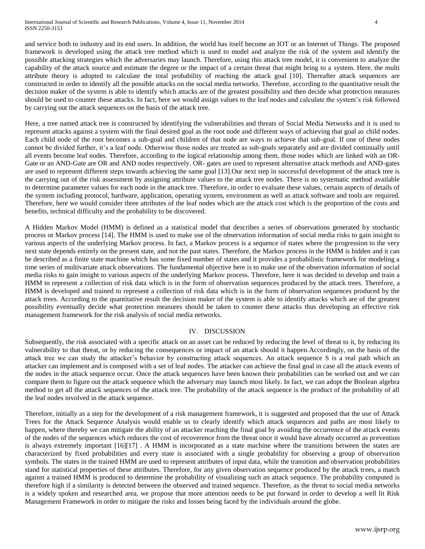and service both to industry and its end users. In addition, the world has itself become an IOT or an Internet of Things. The proposed framework is developed using the attack tree method which is used to model and analyze the risk of the system and identify the possible attacking strategies which the adversaries may launch. Therefore, using this attack tree model, it is convenient to analyze the capability of the attack source and estimate the degree or the impact of a certain threat that might bring to a system. Here, the multi attribute theory is adopted to calculate the total probability of reaching the attack goal [10]. Thereafter attack sequences are constructed in order to identify all the possible attacks on the social media networks. Therefore, according to the quantitative result the decision maker of the system is able to identify which attacks are of the greatest possibility and then decide what protection measures should be used to counter these attacks. In fact, here we would assign values to the leaf nodes and calculate the system"s risk followed by carrying out the attack sequences on the basis of the attack tree.

Here, a tree named attack tree is constructed by identifying the vulnerabilities and threats of Social Media Networks and it is used to represent attacks against a system with the final desired goal as the root node and different ways of achieving that goal as child nodes. Each child node of the root becomes a sub-goal and children of that node are ways to achieve that sub-goal. If one of these nodes cannot be divided further, it"s a leaf node. Otherwise those nodes are treated as sub-goals separately and are divided continually until all events become leaf nodes. Therefore, according to the logical relationship among them, those nodes which are linked with an OR-Gate or an AND-Gate are OR and AND nodes respectively. OR- gates are used to represent alternative attack methods and AND-gates are used to represent different steps towards achieving the same goal [13].Our next step in successful development of the attack tree is the carrying out of the risk assessment by assigning attribute values to the attack tree nodes. There is no systematic method available to determine parameter values for each node in the attack tree. Therefore, in order to evaluate these values, certain aspects of details of the system including protocol, hardware, application, operating system, environment as well as attack software and tools are required. Therefore, here we would consider three attributes of the leaf nodes which are the attack cost which is the proportion of the costs and benefits, technical difficulty and the probability to be discovered.

A Hidden Markov Model (HMM) is defined as a statistical model that describes a series of observations generated by stochastic process or Markov process [14]. The HMM is used to make use of the observation information of social media risks to gain insight to various aspects of the underlying Markov process. In fact, a Markov process is a sequence of states where the progression to the very next state depends entirely on the present state, and not the past states. Therefore, the Markov process in the HMM is hidden and it can be described as a finite state machine which has some fixed number of states and it provides a probabilistic framework for modeling a time series of multivariate attack observations. The fundamental objective here is to make use of the observation information of social media risks to gain insight to various aspects of the underlying Markov process. Therefore, here it was decided to develop and train a HMM to represent a collection of risk data which is in the form of observation sequences produced by the attack trees. Therefore, a HMM is developed and trained to represent a collection of risk data which is in the form of observation sequences produced by the attack trees. According to the quantitative result the decision maker of the system is able to identify attacks which are of the greatest possibility eventually decide what protection measures should be taken to counter these attacks thus developing an effective risk management framework for the risk analysis of social media networks.

# IV. DISCUSSION

Subsequently, the risk associated with a specific attack on an asset can be reduced by reducing the level of threat to it, by reducing its vulnerability to that threat, or by reducing the consequences or impact of an attack should it happen.Accordingly, on the basis of the attack tree we can study the attacker"s behavior by constructing attack sequences. An attack sequence S is a real path which an attacker can implement and is composed with a set of leaf nodes. The attacker can achieve the final goal in case all the attack events of the nodes in the attack sequence occur. Once the attack sequences have been known their probabilities can be worked out and we can compare them to figure out the attack sequence which the adversary may launch most likely. In fact, we can adopt the Boolean algebra method to get all the attack sequences of the attack tree. The probability of the attack sequence is the product of the probability of all the leaf nodes involved in the attack sequence.

Therefore, initially as a step for the development of a risk management framework, it is suggested and proposed that the use of Attack Trees for the Attack Sequence Analysis would enable us to clearly identify which attack sequences and paths are most likely to happen, where thereby we can mitigate the ability of an attacker reaching the final goal by avoiding the occurrence of the attack events of the nodes of the sequences which reduces the cost of recoverence from the threat once it would have already occurred as prevention is always extremely important [16][17] . A HMM is incorporated as a state machine where the transitions between the states are characterized by fixed probabilities and every state is associated with a single probability for observing a group of observation symbols. The states in the trained HMM are used to represent attributes of input data, while the transition and observation probabilities stand for statistical properties of these attributes. Therefore, for any given observation sequence produced by the attack trees, a match against a trained HMM is produced to determine the probability of visualizing such an attack sequence. The probability computed is therefore high if a similarity is detected between the observed and trained sequence. Therefore, as the threat to social media networks is a widely spoken and researched area, we propose that more attention needs to be put forward in order to develop a well lit Risk Management Framework in order to mitigate the risks and losses being faced by the individuals around the globe.